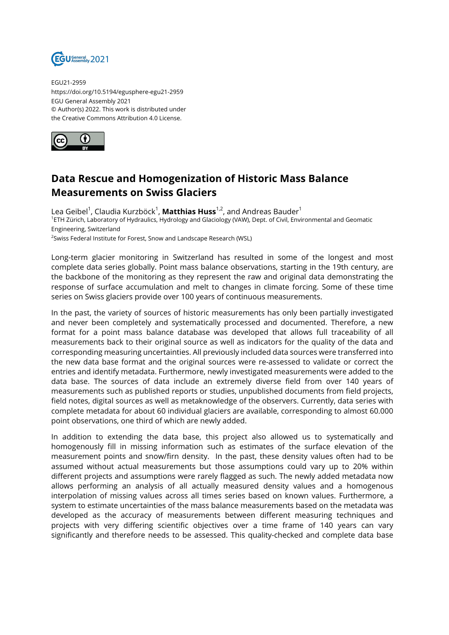

EGU21-2959 https://doi.org/10.5194/egusphere-egu21-2959 EGU General Assembly 2021 © Author(s) 2022. This work is distributed under the Creative Commons Attribution 4.0 License.



## **Data Rescue and Homogenization of Historic Mass Balance Measurements on Swiss Glaciers**

Lea Geibel<sup>1</sup>, Claudia Kurzböck<sup>1</sup>, **Matthias Huss**<sup>1,2</sup>, and Andreas Bauder<sup>1</sup> 1 ETH Zürich, Laboratory of Hydraulics, Hydrology and Glaciology (VAW), Dept. of Civil, Environmental and Geomatic Engineering, Switzerland

<sup>2</sup>Swiss Federal Institute for Forest, Snow and Landscape Research (WSL)

Long-term glacier monitoring in Switzerland has resulted in some of the longest and most complete data series globally. Point mass balance observations, starting in the 19th century, are the backbone of the monitoring as they represent the raw and original data demonstrating the response of surface accumulation and melt to changes in climate forcing. Some of these time series on Swiss glaciers provide over 100 years of continuous measurements.

In the past, the variety of sources of historic measurements has only been partially investigated and never been completely and systematically processed and documented. Therefore, a new format for a point mass balance database was developed that allows full traceability of all measurements back to their original source as well as indicators for the quality of the data and corresponding measuring uncertainties. All previously included data sources were transferred into the new data base format and the original sources were re-assessed to validate or correct the entries and identify metadata. Furthermore, newly investigated measurements were added to the data base. The sources of data include an extremely diverse field from over 140 years of measurements such as published reports or studies, unpublished documents from field projects, field notes, digital sources as well as metaknowledge of the observers. Currently, data series with complete metadata for about 60 individual glaciers are available, corresponding to almost 60.000 point observations, one third of which are newly added.

In addition to extending the data base, this project also allowed us to systematically and homogenously fill in missing information such as estimates of the surface elevation of the measurement points and snow/firn density. In the past, these density values often had to be assumed without actual measurements but those assumptions could vary up to 20% within different projects and assumptions were rarely flagged as such. The newly added metadata now allows performing an analysis of all actually measured density values and a homogenous interpolation of missing values across all times series based on known values. Furthermore, a system to estimate uncertainties of the mass balance measurements based on the metadata was developed as the accuracy of measurements between different measuring techniques and projects with very differing scientific objectives over a time frame of 140 years can vary significantly and therefore needs to be assessed. This quality-checked and complete data base